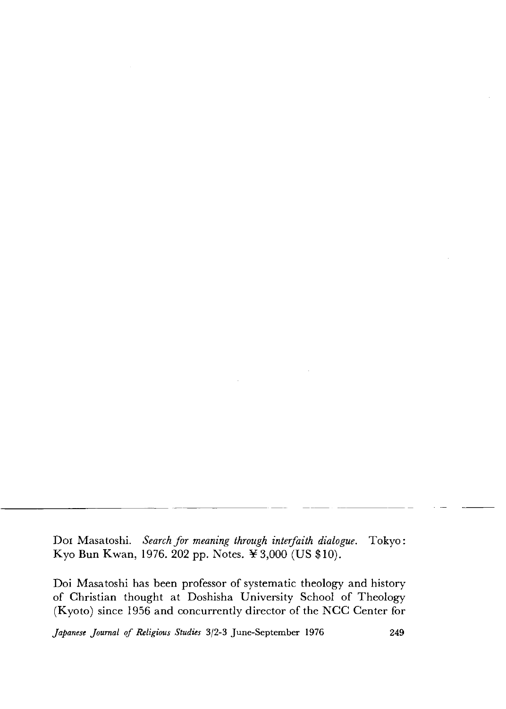Doi Masatoshi. *Search for meaning through interfaith dialogue.* Tokyo: Kyo Bun Kwan, 1976. 202 pp. Notes. ¥3,000 (US \$10).

Doi Masatoshi has been professor of systematic theology and history of Christian thought at Doshisha University School of Theology (Kyoto) since 1956 and concurrently director of the NGG Center for

*Japanese Journal of Religious Studies* 3/2-3 June-September 1976 249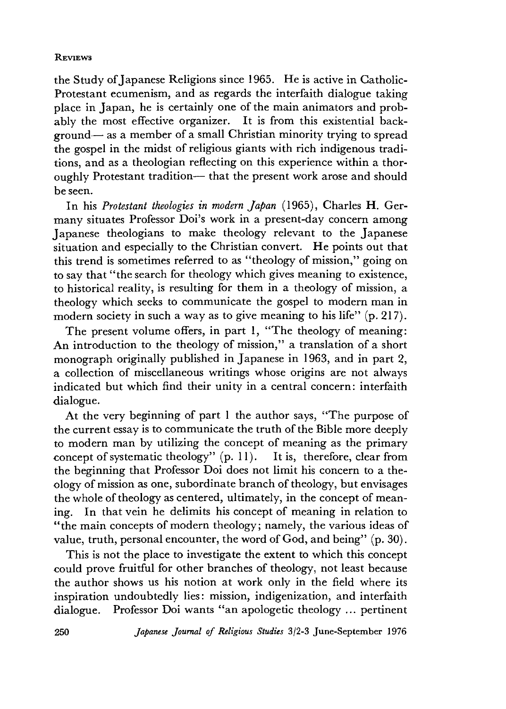## **REVIEWS**

the Study of Japanese Religions since 1965. He is active in Gatholic-Protestant ecumenism, and as regards the interfaith dialogue taking place in Japan, he is certainly one of the main animators and probably the most effective organizer. It is from this existential background— as a member of a small Christian minority trying to spread the gospel in the midst of religious giants with rich indigenous traditions, and as a theologian reflecting on this experience within a thoroughly Protestant tradition— that the present work arose and should be seen.

In his *Protestant theologies in modern Japan* (1965), Charles H. Germany situates Professor Doi's work in a present-day concern among Japanese theologians to make theology relevant to the Japanese situation and especially to the Christian convert. He points out that this trend is sometimes referred to as "theology of mission," going on to say that " the search for theology which gives meaning to existence, to historical reality, is resulting for them in a theology of mission, a theology which seeks to communicate the gospel to modern man in modern society in such a way as to give meaning to his life" (p. 217).

The present volume offers, in part 1, "The theology of meaning: An introduction to the theology of mission," a translation of a short monograph originally published in Japanese in 1963, and in part 2. a collection of miscellaneous writings whose origins are not always indicated but which find their unity in a central concern: interfaith dialogue.

At the very beginning of part 1 the author says, "The purpose of the current essay is to communicate the truth of the Bible more deeply to modern man by utilizing the concept of meaning as the primary concept of systematic theology"  $(p, 11)$ . It is, therefore, clear from the beginning that Professor Doi does not limit his concern to a theology of mission as one, subordinate branch of theology, but envisages the whole of theology as centered, ultimately, in the concept of meaning. In that vein he delimits his concept of meaning in relation to " the main concepts of modern theology; namely, the various ideas of value, truth, personal encounter, the word of God, and being" (p. 30).

This is not the place to investigate the extent to which this concept could prove fruitful for other branches of theology, not least because the author shows us his notion at work only in the field where its inspiration undoubtedly lies: mission, indigenization, and interfaith dialogue. Professor Doi wants "an apologetic theology ... pertinent

250 *Japanese Journal o f Religious Studies* 3/2-3 June-Septem ber 1976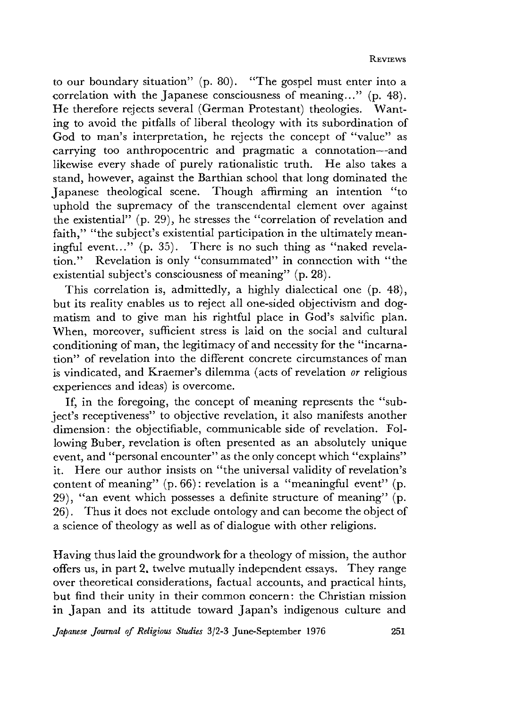to our boundary situation" (p. 80). "The gospel must enter into a correlation with the Japanese consciousness of meaning..." (p. 48). He therefore rejects several (German Protestant) theologies. Wanting to avoid the pitfalls of liberal theology with its subordination of God to man's interpretation, he rejects the concept of "value" as carrying too anthropocentric and pragmatic a connotation— and likewise every shade of purely rationalistic truth. He also takes a stand, however, against the Barthian school that long dominated the Japanese theological scene. Though affirming an intention "to uphold the supremacy of the transcendental element over against the existential" (p. 29), he stresses the "correlation of revelation and faith." "the subject's existential participation in the ultimately meaningful event..." (p. 35). There is no such thing as "naked revelation." Revelation is only "consummated" in connection with "the existential subject's consciousness of meaning" (p. 28).

This correlation is, admittedly, a highly dialectical one (p. 48), but its reality enables us to reject all one-sided objectivism and dogmatism and to give man his rightful place in God's salvific plan. When, moreover, sufficient stress is laid on the social and cultural conditioning of man, the legitimacy of and necessity for the "incarnation" of revelation into the different concrete circumstances of man is vindicated, and Kraemer's dilemma (acts of revelation *or* religious experiences and ideas) is overcome.

If, in the foregoing, the concept of meaning represents the "subject's receptiveness" to objective revelation, it also manifests another dimension: the objectifiable, communicable side of revelation. Following Buber, revelation is often presented as an absolutely unique event, and "personal encounter" as the only concept which "explains" it. Here our author insists on "the universal validity of revelation's content of meaning"  $(p. 66)$ : revelation is a "meaningful event"  $(p. 66)$ . 29), "an event which possesses a definite structure of meaning"  $(p.$ 26). Thus it does not exclude ontology and can become the object of a science of theology as well as of dialogue with other religions.

Having thus laid the groundwork for a theology of mission, the author offers us, in part 2. twelve mutually independent essays. They range over theoretical considerations, factual accounts, and practical hints, but find their unity in their common concern: the Christian mission in Japan and its attitude toward Japan's indigenous culture and

*Japanese Journal of Religious Studies* 3/2-3 June-September 1976 251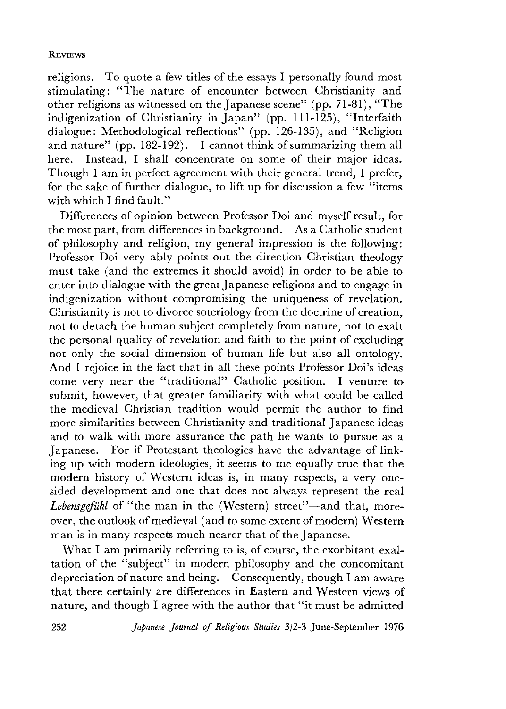## **REVIEWS**

religions. To quote a few titles of the essays I personally found most stimulating: ''The nature of encounter between Christianity and other religions as witnessed on the Japanese scene" (pp. 71-81),"The indigenization of Christianity in Japan" (pp. 111-125), "Interfaith dialogue: Methodological reflections" (pp. 126-135), and "Religion and nature" (pp. 182-192). I cannot think of summarizing them all here. Instead, I shall concentrate on some of their major ideas. Though I am in perfect agreement with their general trend, I prefer, for the sake of further dialogue, to lift up for discussion a few "items with which I find fault."

Differences of opinion between Professor Doi and myself result, for the most part, from differences in background. As a Catholic student of philosophy and religion, my general impression is the following: Professor Doi very ably points out the direction Christian theology must take (and the extremes it should avoid) in order to be able to enter into dialogue with the great Japanese religions and to engage in indigenization without compromising the uniqueness of revelation. Christianity is not to divorce soteriology from the doctrine of creation, not to detach the human subject completely from nature, not to exalt the personal quality of revelation and faith to the point of excluding not only the social dimension of human life but also all ontology. And I rejoice in the fact that in all these points Professor Doi's ideas come very near the "traditional" Catholic position. I venture to submit, however, that greater familiarity with what could be called the medieval Christian tradition would permit the author to find more similarities between Christianity and traditional Japanese ideas and to walk with more assurance the path he wants to pursue as a Japanese. For if Protestant theologies have the advantage of linking up with modern ideologies, it seems to me equally true that the modern history of Western ideas is, in many respects, a very onesided development and one that does not always represent the real Lebensgefühl of "the man in the (Western) street"—and that, moreover, the outlook of medieval (and to some extent of modern) Western man is in many respects much nearer that of the Japanese.

What I am primarily referring to is, of course, the exorbitant exaltation of the "subject" in modern philosophy and the concomitant depreciation of nature and being. Consequently, though I am aware that there certainly are differences in Eastern and Western views of nature, and though I agree with the author that "it must be admitted

252 *Japanese Journal of Religious Studies* 3/2-3 June-September 1976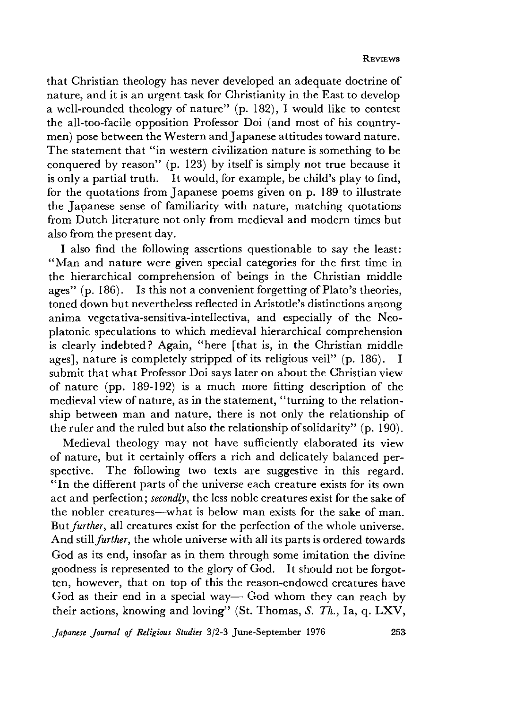that Christian theology has never developed an adequate doctrine of nature, and it is an urgent task for Christianity in the East to develop a well-rounded theology of nature" (p. 182), I would like to contest the all-too-facile opposition Professor Doi (and most of his countrymen) pose between the Western and Japanese attitudes toward nature. The statement that "in western civilization nature is something to be conquered by reason" (p. 123) by itself is simply not true because it is only a partial truth. It would, for example, be child's play to find, for the quotations from Japanese poems given on p. 189 to illustrate the Japanese sense of familiarity with nature, matching quotations from Dutch literature not only from medieval and modem times but also from the present day.

I also find the following assertions questionable to say the least: "Man and nature were given special categories for the first time in the hierarchical comprehension of beings in the Christian middle ages" (p. 186). Is this not a convenient forgetting of Plato's theories, toned down but nevertheless reflected in Aristotle's distinctions among anima vegetativa-sensitiva-intellectiva, and especially of the Neoplatonic speculations to which medieval hierarchical comprehension is clearly indebted ? Again, "here [that is, in the Christian middle ages], nature is completely stripped of its religious veil" (p. 186). I submit that what Professor Doi says later on about the Christian view of nature (pp. 189-192) is a much more fitting description of the medieval view of nature, as in the statement, "turning to the relationship between man and nature, there is not only the relationship of the ruler and the ruled but also the relationship of solidarity" (p. 190).

Medieval theology may not have sufficiently elaborated its view of nature, but it certainly offers a rich and delicately balanced perspective. The following two texts are suggestive in this regard. " In the different parts of the universe each creature exists for its own act and perfection; *secondly,* the less noble creatures exist for the sake of the nobler creatures—what is below man exists for the sake of man. But *further,* all creatures exist for the perfection of the whole universe. And still *further,* the whole universe with all its parts is ordered towards God as its end, insofar as in them through some imitation the divine goodness is represented to the glory of God. It should not be forgotten, however, that on top of this the reason-endowed creatures have God as their end in a special way— God whom they can reach by their actions, knowing and loving" (St. Thomas, *S. Th.*, Ia,  $q$ . LXV,

*Japanese Journal of Religious Studies* 3/2-3 June-September 1976 253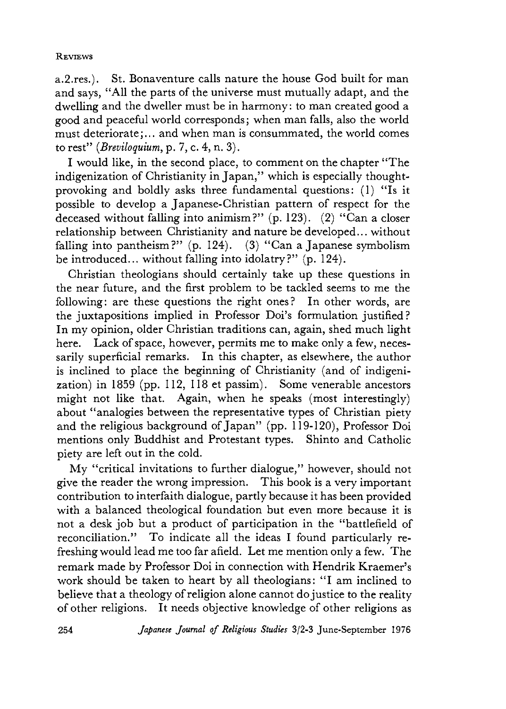## **REVIEWS**

a.2.res.). St. Bonaventure calls nature the house God built for man and says,"All the parts of the universe must mutually adapt, and the dwelling and the dweller must be in harmony: to man created good a good and peaceful world corresponds; when man falls, also the world must deteriorate;... and when man is consummated, the world comes to rest" *(Breviloquium,* p. 7 c. 4, n. 3).

I would like, in the second place, to comment on the chapter "The indigenization of Christianity in Japan," which is especially thoughtprovoking and boldly asks three fundamental questions: (1) "Is it possible to develop a Japanese-Christian pattern of respect for the deceased without falling into animism?" (p. 123). (2) " Can a closer relationship between Christianity and nature be developed... without falling into pantheism?" (p. 124). (3) "Can a Japanese symbolism be introduced... without falling into idolatry?" (p. 124).

Christian theologians should certainly take up these questions in the near future, and the first problem to be tackled seems to me the following: are these questions the right ones? In other words, are the juxtapositions implied in Professor Doi's formulation justified? In my opinion, older Christian traditions can, again, shed much light here. Lack of space, however, permits me to make only a few, necessarily superficial remarks. In this chapter, as elsewhere, the author is inclined to place the beginning of Christianity (and of indigenization) in 1859 (pp. 112, 118 et passim). Some venerable ancestors might not like that. Again, when he speaks (most interestingly) about "analogies between the representative types of Christian piety and the religious background of Japan" (pp. 119-120), Professor Doi mentions only Buddhist and Protestant types. Shinto and Catholic piety are left out in the cold.

My "critical invitations to further dialogue," however, should not give the reader the wrong impression. This book is a very important contribution to interfaith dialogue, partly because it has been provided with a balanced theological foundation but even more because it is not a desk job but a product of participation in the "battlefield of reconciliation." To indicate all the ideas I found particularly refreshing would lead me too far afield. Let me mention only a few. The remark made by Professor Doi in connection with Hendrik Kraemer's work should be taken to heart by all theologians: "I am inclined to believe that a theology of religion alone cannot do justice to the reality of other religions. It needs objective knowledge of other religions as

254 *Japanese Journal o f Religious Studies* 3/2-3 June-Septem ber 1976